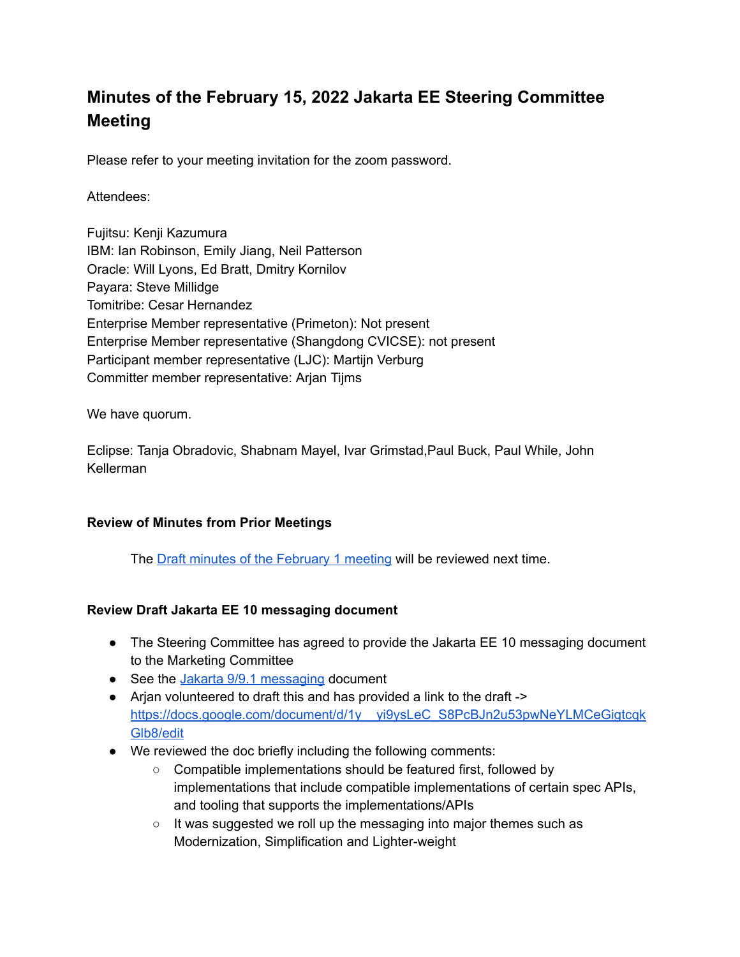# **Minutes of the February 15, 2022 Jakarta EE Steering Committee Meeting**

Please refer to your meeting invitation for the zoom password.

### Attendees:

Fujitsu: Kenji Kazumura IBM: Ian Robinson, Emily Jiang, Neil Patterson Oracle: Will Lyons, Ed Bratt, Dmitry Kornilov Payara: Steve Millidge Tomitribe: Cesar Hernandez Enterprise Member representative (Primeton): Not present Enterprise Member representative (Shangdong CVICSE): not present Participant member representative (LJC): Martijn Verburg Committer member representative: Arjan Tijms

We have quorum.

Eclipse: Tanja Obradovic, Shabnam Mayel, Ivar Grimstad,Paul Buck, Paul While, John Kellerman

### **Review of Minutes from Prior Meetings**

The Draft minutes of the [February](https://docs.google.com/document/u/0/d/168iKm3YZXRBqlZCRn5OGJpZJhnNf09zSErwe-ZxWqJU/edit) 1 meeting will be reviewed next time.

### **Review Draft Jakarta EE 10 messaging document**

- The Steering Committee has agreed to provide the Jakarta EE 10 messaging document to the Marketing Committee
- See the Jakarta 9/9.1 [messaging](https://urldefense.com/v3/__https://docs.google.com/document/d/18hJZsOaiKh6FMqeOoL5WoV6b10T-7UqpE0OXE31eVpE/edit__;!!ACWV5N9M2RV99hQ!ePxBTxM-a7gQZjXX2xqKYs45HPMmEe_CiUorLofRqyRfAnIzj1eIUQGTmS9iLWBX$) document
- Arjan volunteered to draft this and has provided a link to the draft -> https://docs.google.com/document/d/1y yi9ysLeC\_S8PcBJn2u53pwNeYLMCeGigtcqk [Glb8/edit](https://docs.google.com/document/d/1y__yi9ysLeC_S8PcBJn2u53pwNeYLMCeGigtcqkGlb8/edit)
- We reviewed the doc briefly including the following comments:
	- Compatible implementations should be featured first, followed by implementations that include compatible implementations of certain spec APIs, and tooling that supports the implementations/APIs
	- It was suggested we roll up the messaging into major themes such as Modernization, Simplification and Lighter-weight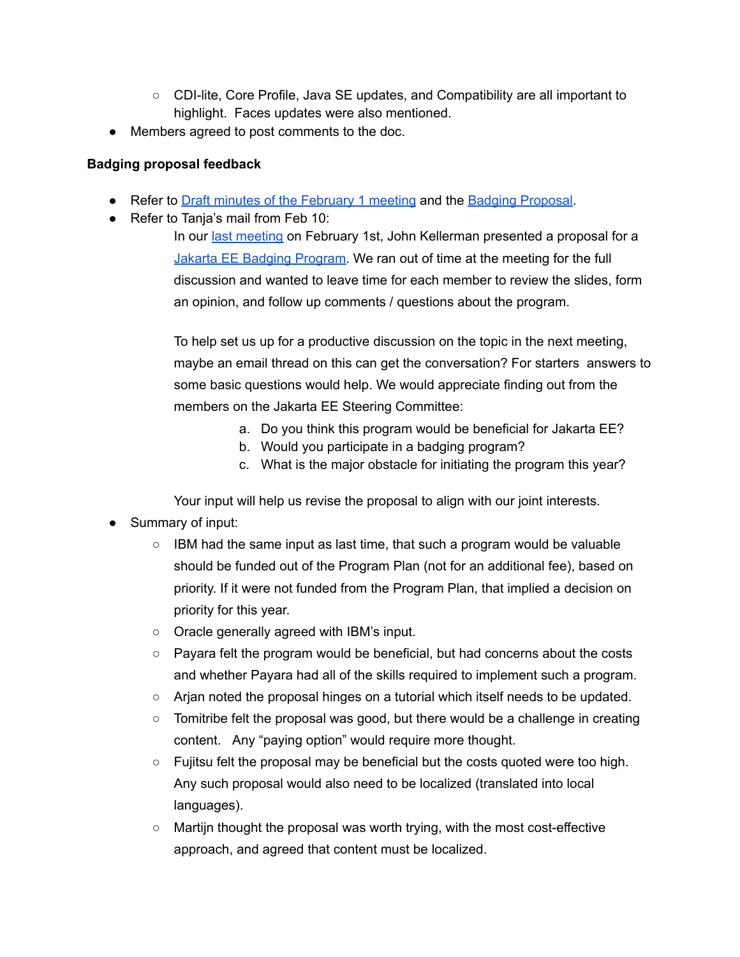- CDI-lite, Core Profile, Java SE updates, and Compatibility are all important to highlight. Faces updates were also mentioned.
- Members agreed to post comments to the doc.

## **Badging proposal feedback**

- Refer to Draft minutes of the [February](https://docs.google.com/document/u/0/d/168iKm3YZXRBqlZCRn5OGJpZJhnNf09zSErwe-ZxWqJU/edit) 1 meeting and the Badging [Proposal](https://docs.google.com/presentation/d/1EaXtL7GPmhLzYt4iDtMQ8JQjfwCuoy-uABhqkCEva_k/edit#slide=id.g10f13aae965_0_0).
- Refer to Tanja's mail from Feb 10:

In our last [meeting](https://urldefense.com/v3/__https://docs.google.com/document/d/168iKm3YZXRBqlZCRn5OGJpZJhnNf09zSErwe-ZxWqJU/edit?usp=sharing__;!!ACWV5N9M2RV99hQ!bsoE5ShWvW76F01PAB-3BIyk6zhhZOckff7RYzGEhJPxvm2tdfEolocRB3ZsOpND$) on February 1st, John Kellerman presented a proposal for a Jakarta EE Badging [Program](https://urldefense.com/v3/__https://docs.google.com/presentation/d/1EaXtL7GPmhLzYt4iDtMQ8JQjfwCuoy-uABhqkCEva_k/edit*slide=id.gfb9bc4e20a_0_18__;Iw!!ACWV5N9M2RV99hQ!bsoE5ShWvW76F01PAB-3BIyk6zhhZOckff7RYzGEhJPxvm2tdfEolocRB_NpSkpk$). We ran out of time at the meeting for the full discussion and wanted to leave time for each member to review the slides, form an opinion, and follow up comments / questions about the program.

To help set us up for a productive discussion on the topic in the next meeting, maybe an email thread on this can get the conversation? For starters answers to some basic questions would help. We would appreciate finding out from the members on the Jakarta EE Steering Committee:

- a. Do you think this program would be beneficial for Jakarta EE?
- b. Would you participate in a badging program?
- c. What is the major obstacle for initiating the program this year?

Your input will help us revise the proposal to align with our joint interests.

- Summary of input:
	- IBM had the same input as last time, that such a program would be valuable should be funded out of the Program Plan (not for an additional fee), based on priority. If it were not funded from the Program Plan, that implied a decision on priority for this year.
	- Oracle generally agreed with IBM's input.
	- $\circ$  Payara felt the program would be beneficial, but had concerns about the costs and whether Payara had all of the skills required to implement such a program.
	- Arjan noted the proposal hinges on a tutorial which itself needs to be updated.
	- $\circ$  Tomitribe felt the proposal was good, but there would be a challenge in creating content. Any "paying option" would require more thought.
	- $\circ$  Fujitsu felt the proposal may be beneficial but the costs quoted were too high. Any such proposal would also need to be localized (translated into local languages).
	- Martijn thought the proposal was worth trying, with the most cost-effective approach, and agreed that content must be localized.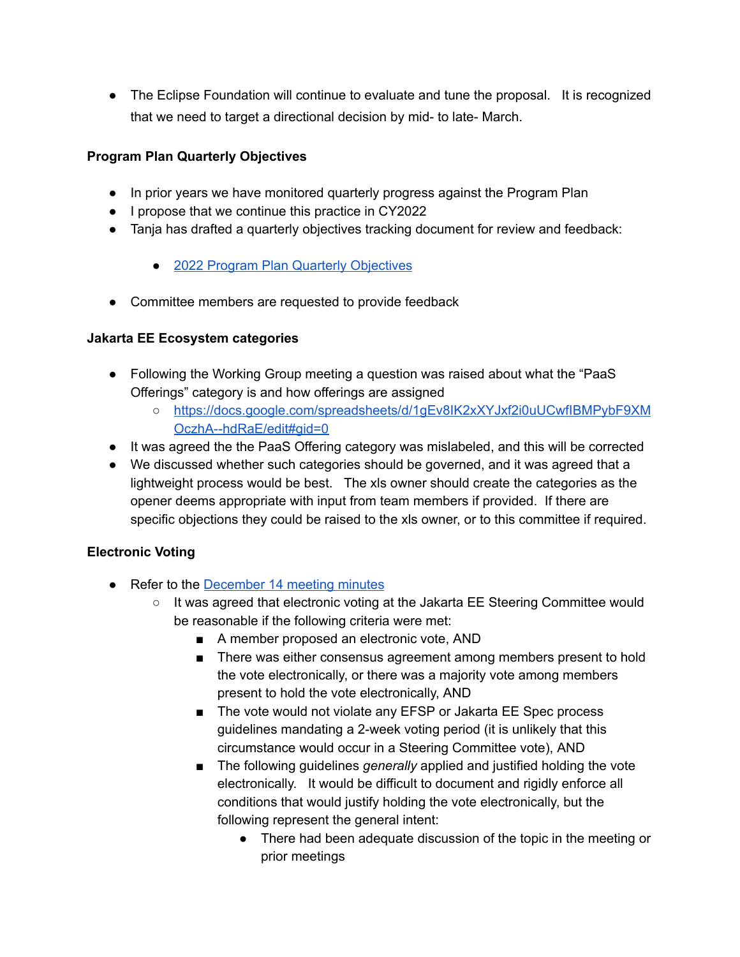• The Eclipse Foundation will continue to evaluate and tune the proposal. It is recognized that we need to target a directional decision by mid- to late- March.

# **Program Plan Quarterly Objectives**

- In prior years we have monitored quarterly progress against the Program Plan
- I propose that we continue this practice in CY2022
- Tanja has drafted a quarterly objectives tracking document for review and feedback:
	- 2022 Program Plan Quarterly [Objectives](https://urldefense.com/v3/__https://docs.google.com/presentation/d/1JH_ONPYmsQxNgN-ta4Yc6AP7i3Ez1Hq1gP8PX2zbCeo/edit*slide=id.g112ac509088_0_0__;Iw!!ACWV5N9M2RV99hQ!ZftDyw2HsaEQgnsfmx76s2Goi0JVJwzzGXKIZ6Yz16FFI6R6K6ahHQ3PRBf5Fwuz$)
- Committee members are requested to provide feedback

## **Jakarta EE Ecosystem categories**

- Following the Working Group meeting a question was raised about what the "PaaS" Offerings" category is and how offerings are assigned
	- [https://docs.google.com/spreadsheets/d/1gEv8IK2xXYJxf2i0uUCwfIBMPybF9XM](https://docs.google.com/spreadsheets/d/1gEv8IK2xXYJxf2i0uUCwfIBMPybF9XMOczhA--hdRaE/edit#gid=0) [OczhA--hdRaE/edit#gid=0](https://docs.google.com/spreadsheets/d/1gEv8IK2xXYJxf2i0uUCwfIBMPybF9XMOczhA--hdRaE/edit#gid=0)
- It was agreed the the PaaS Offering category was mislabeled, and this will be corrected
- We discussed whether such categories should be governed, and it was agreed that a lightweight process would be best. The xls owner should create the categories as the opener deems appropriate with input from team members if provided. If there are specific objections they could be raised to the xls owner, or to this committee if required.

### **Electronic Voting**

- Refer to the **[December](https://jakarta.ee/about/meeting_minutes/steering_committee/minutes-december-14-2021.pdf) 14 meeting minutes** 
	- It was agreed that electronic voting at the Jakarta EE Steering Committee would be reasonable if the following criteria were met:
		- A member proposed an electronic vote, AND
		- There was either consensus agreement among members present to hold the vote electronically, or there was a majority vote among members present to hold the vote electronically, AND
		- The vote would not violate any EFSP or Jakarta EE Spec process guidelines mandating a 2-week voting period (it is unlikely that this circumstance would occur in a Steering Committee vote), AND
		- The following guidelines *generally* applied and justified holding the vote electronically. It would be difficult to document and rigidly enforce all conditions that would justify holding the vote electronically, but the following represent the general intent:
			- There had been adequate discussion of the topic in the meeting or prior meetings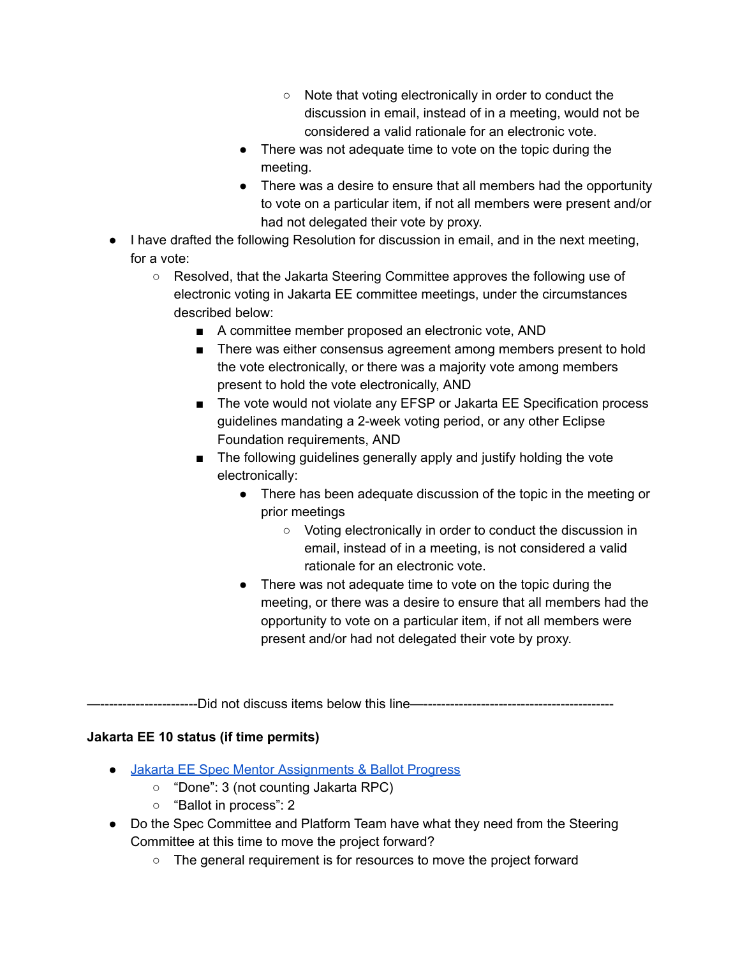- Note that voting electronically in order to conduct the discussion in email, instead of in a meeting, would not be considered a valid rationale for an electronic vote.
- There was not adequate time to vote on the topic during the meeting.
- There was a desire to ensure that all members had the opportunity to vote on a particular item, if not all members were present and/or had not delegated their vote by proxy.
- I have drafted the following Resolution for discussion in email, and in the next meeting, for a vote:
	- Resolved, that the Jakarta Steering Committee approves the following use of electronic voting in Jakarta EE committee meetings, under the circumstances described below:
		- A committee member proposed an electronic vote, AND
		- There was either consensus agreement among members present to hold the vote electronically, or there was a majority vote among members present to hold the vote electronically, AND
		- The vote would not violate any EFSP or Jakarta EE Specification process guidelines mandating a 2-week voting period, or any other Eclipse Foundation requirements, AND
		- The following guidelines generally apply and justify holding the vote electronically:
			- There has been adequate discussion of the topic in the meeting or prior meetings
				- Voting electronically in order to conduct the discussion in email, instead of in a meeting, is not considered a valid rationale for an electronic vote.
			- There was not adequate time to vote on the topic during the meeting, or there was a desire to ensure that all members had the opportunity to vote on a particular item, if not all members were present and/or had not delegated their vote by proxy.

-----------------Did not discuss items below this line—--------------------------

# **Jakarta EE 10 status (if time permits)**

- Jakarta EE Spec Mentor [Assignments](https://docs.google.com/spreadsheets/d/1YTUpfdLZZrk2_UGwoX2w0seOCueRO3sQJIjWxpDAa7g/edit#gid=35969432) & Ballot Progress
	- "Done": 3 (not counting Jakarta RPC)
	- "Ballot in process": 2
- Do the Spec Committee and Platform Team have what they need from the Steering Committee at this time to move the project forward?
	- The general requirement is for resources to move the project forward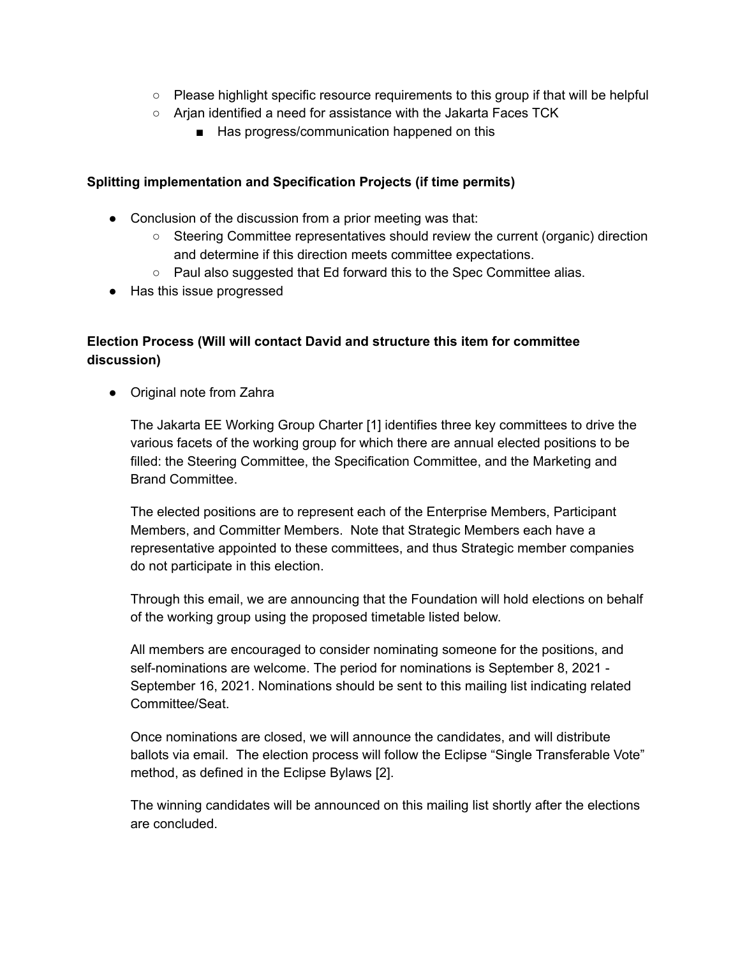- Please highlight specific resource requirements to this group if that will be helpful
- Arjan identified a need for assistance with the Jakarta Faces TCK
	- Has progress/communication happened on this

#### **Splitting implementation and Specification Projects (if time permits)**

- Conclusion of the discussion from a prior meeting was that:
	- Steering Committee representatives should review the current (organic) direction and determine if this direction meets committee expectations.
	- Paul also suggested that Ed forward this to the Spec Committee alias.
- Has this issue progressed

# **Election Process (Will will contact David and structure this item for committee discussion)**

• Original note from Zahra

The Jakarta EE Working Group Charter [1] identifies three key committees to drive the various facets of the working group for which there are annual elected positions to be filled: the Steering Committee, the Specification Committee, and the Marketing and Brand Committee.

The elected positions are to represent each of the Enterprise Members, Participant Members, and Committer Members. Note that Strategic Members each have a representative appointed to these committees, and thus Strategic member companies do not participate in this election.

Through this email, we are announcing that the Foundation will hold elections on behalf of the working group using the proposed timetable listed below.

All members are encouraged to consider nominating someone for the positions, and self-nominations are welcome. The period for nominations is September 8, 2021 - September 16, 2021. Nominations should be sent to this mailing list indicating related Committee/Seat.

Once nominations are closed, we will announce the candidates, and will distribute ballots via email. The election process will follow the Eclipse "Single Transferable Vote" method, as defined in the Eclipse Bylaws [2].

The winning candidates will be announced on this mailing list shortly after the elections are concluded.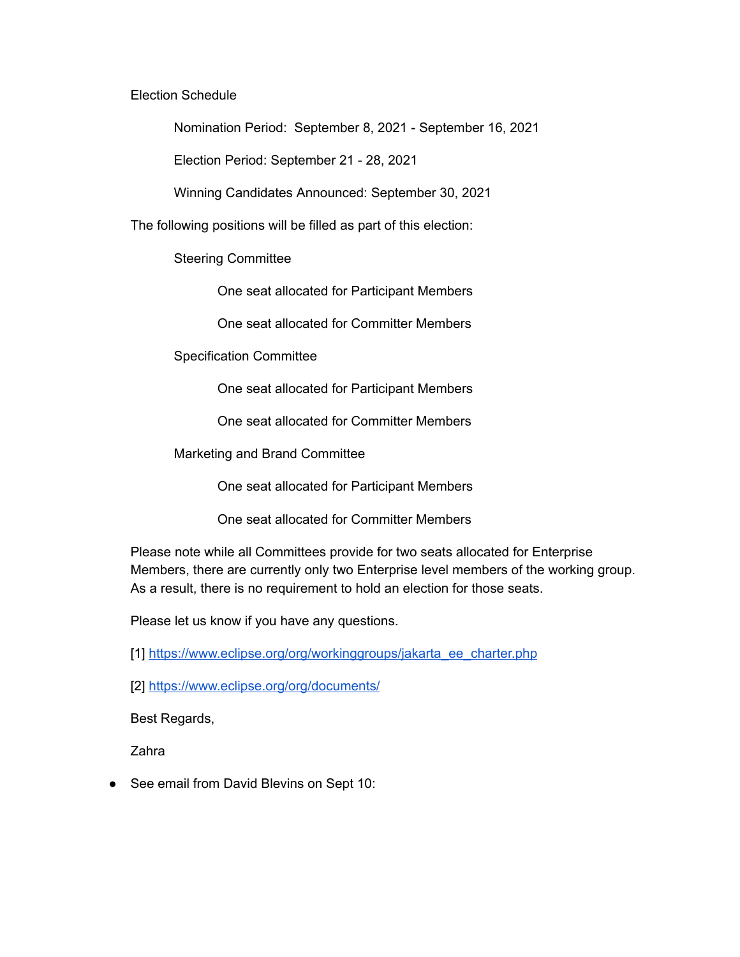Election Schedule

Nomination Period: September 8, 2021 - September 16, 2021

Election Period: September 21 - 28, 2021

Winning Candidates Announced: September 30, 2021

The following positions will be filled as part of this election:

Steering Committee

One seat allocated for Participant Members

One seat allocated for Committer Members

Specification Committee

One seat allocated for Participant Members

One seat allocated for Committer Members

Marketing and Brand Committee

One seat allocated for Participant Members

One seat allocated for Committer Members

Please note while all Committees provide for two seats allocated for Enterprise Members, there are currently only two Enterprise level members of the working group. As a result, there is no requirement to hold an election for those seats.

Please let us know if you have any questions.

[1] [https://www.eclipse.org/org/workinggroups/jakarta\\_ee\\_charter.php](https://www.eclipse.org/org/workinggroups/jakarta_ee_charter.php)

[2] <https://www.eclipse.org/org/documents/>

Best Regards,

Zahra

● See email from David Blevins on Sept 10: